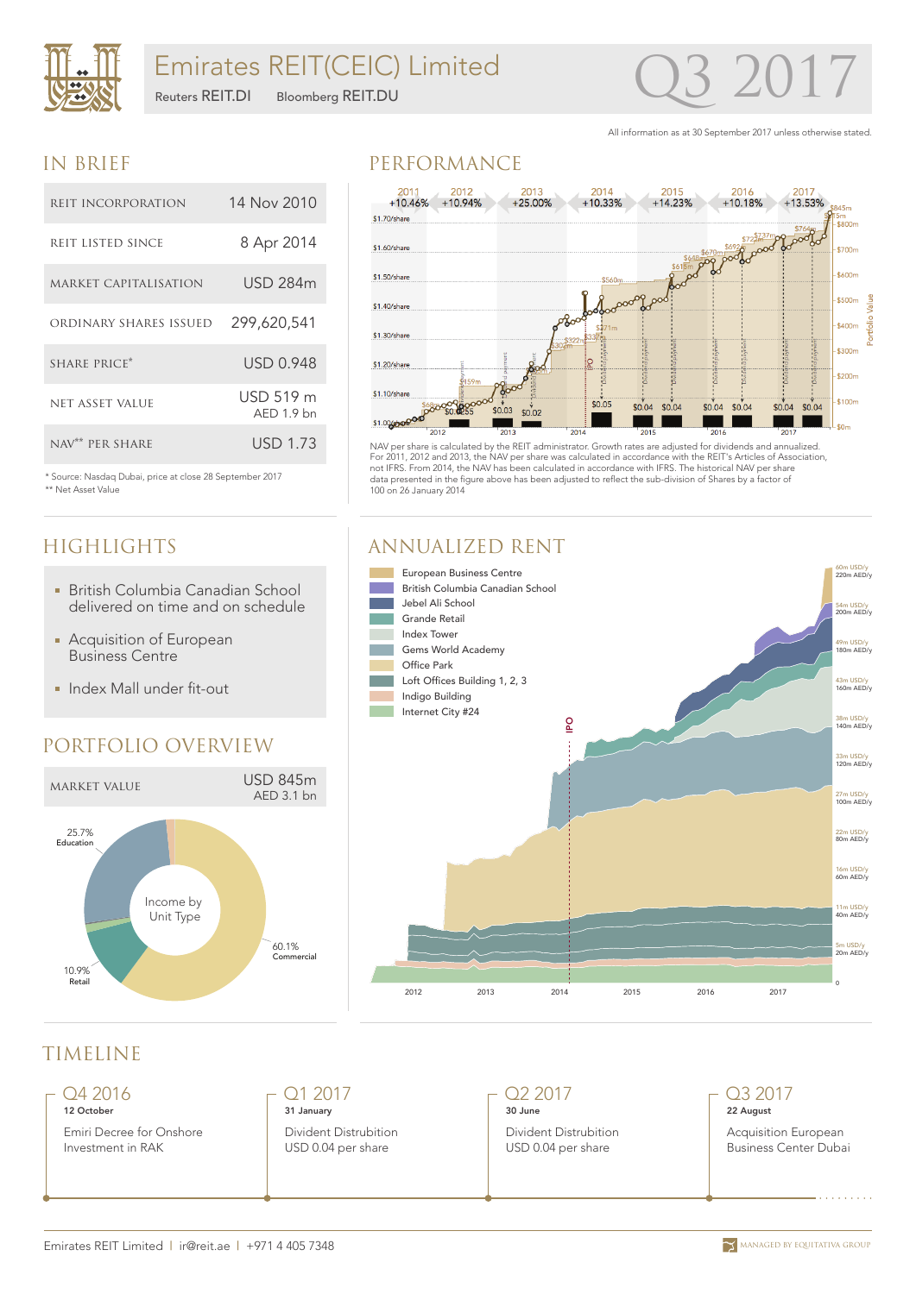

All information as at 30 September 2017 unless otherwise stated.

### IN BRIEF

\*\* Net Asset Value

**HIGHLIGHTS** 

| REIT INCORPORATION          | 14 Nov 2010               |
|-----------------------------|---------------------------|
| REIT LISTED SINCE           | 8 Apr 2014                |
| MARKET CAPITALISATION       | <b>USD 284m</b>           |
| ORDINARY SHARES ISSUED      | 299,620,541               |
| SHARE PRICE*                | <b>USD 0.948</b>          |
| NET ASSET VALUE             | USD 519 m<br>$AED 1.9$ bn |
| NAV <sup>**</sup> PER SHARE | <b>USD 1.73</b>           |

\* Source: Nasdaq Dubai, price at close 28 September 2017

British Columbia Canadian School delivered on time and on schedule

**Acquisition of European** Business Centre

**Index Mall under fit-out** 

PORTFOLIO OVERVIEW

market value USD 845m

Income by Unit Type

AED 3.1 bn

60.1% Commercial

### PERFORMANCE



NAV per share is calculated by the REIT administrator. Growth rates are adjusted for dividends and annualized. For 2011, 2012 and 2013, the NAV per share was calculated in accordance with the REIT's Articles of Association, not IFRS. From 2014, the NAV has been calculated in accordance with IFRS. The historical NAV per share data presented in the figure above has been adjusted to reflect the sub-division of Shares by a factor of 100 on 26 January 2014

### ANNUALIZED RENT



## TIMELINE

25.7% Education

> 10.9% Retail

Q4 2016 12 October

Emiri Decree for Onshore Investment in RAK

Q1 2017 31 January Divident Distrubition USD 0.04 per share

Q2 2017 30 June

Divident Distrubition USD 0.04 per share

### Q3 2017 22 August

Acquisition European Business Center Dubai